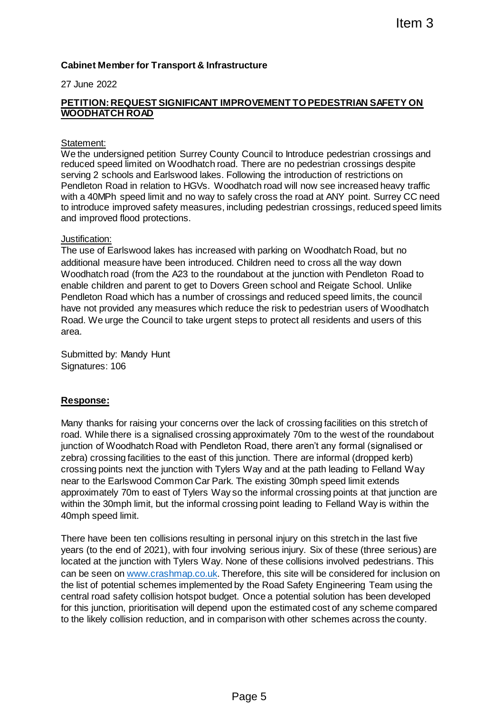# **Cabinet Member for Transport & Infrastructure**

### 27 June 2022

## **PETITION: REQUEST SIGNIFICANT IMPROVEMENT TO PEDESTRIAN SAFETY ON WOODHATCH ROAD**

#### Statement:

We the undersigned petition Surrey County Council to Introduce pedestrian crossings and reduced speed limited on Woodhatch road. There are no pedestrian crossings despite serving 2 schools and Earlswood lakes. Following the introduction of restrictions on Pendleton Road in relation to HGVs. Woodhatch road will now see increased heavy traffic with a 40MPh speed limit and no way to safely cross the road at ANY point. Surrey CC need to introduce improved safety measures, including pedestrian crossings, reduced speed limits and improved flood protections.

#### Justification:

The use of Earlswood lakes has increased with parking on Woodhatch Road, but no additional measure have been introduced. Children need to cross all the way down Woodhatch road (from the A23 to the roundabout at the junction with Pendleton Road to enable children and parent to get to Dovers Green school and Reigate School. Unlike Pendleton Road which has a number of crossings and reduced speed limits, the council have not provided any measures which reduce the risk to pedestrian users of Woodhatch Road. We urge the Council to take urgent steps to protect all residents and users of this area.

Submitted by: Mandy Hunt Signatures: 106

### **Response:**

Many thanks for raising your concerns over the lack of crossing facilities on this stretch of road. While there is a signalised crossing approximately 70m to the west of the roundabout junction of Woodhatch Road with Pendleton Road, there aren't any formal (signalised or zebra) crossing facilities to the east of this junction. There are informal (dropped kerb) crossing points next the junction with Tylers Way and at the path leading to Felland Way near to the Earlswood Common Car Park. The existing 30mph speed limit extends approximately 70m to east of Tylers Way so the informal crossing points at that junction are within the 30mph limit, but the informal crossing point leading to Felland Way is within the 40mph speed limit. Ifter and<br>
Ifter and the case consideration and the system of the same operation and the same operation of restrictions on<br>
Surface are no pedestrian crossings and<br>
Surface are no pedestrian crossings care in pedestrian co

There have been ten collisions resulting in personal injury on this stretch in the last five years (to the end of 2021), with four involving serious injury. Six of these (three serious) are located at the junction with Tylers Way. None of these collisions involved pedestrians. This can be seen on [www.crashmap.co.uk.](http://www.crashmap.co.uk/) Therefore, this site will be considered for inclusion on the list of potential schemes implemented by the Road Safety Engineering Team using the central road safety collision hotspot budget. Once a potential solution has been developed for this junction, prioritisation will depend upon the estimated cost of any scheme compared to the likely collision reduction, and in comparison with other schemes across the county.